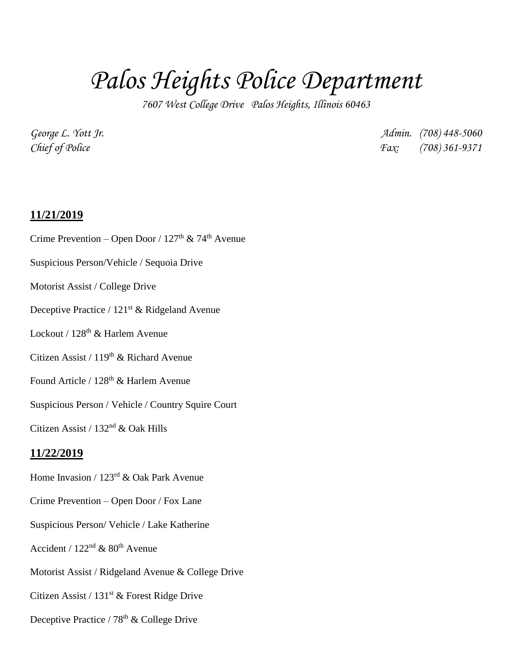## *Palos Heights Police Department*

*7607 West College Drive Palos Heights, Illinois 60463*

*George L. Yott Jr. Admin. (708) 448-5060 Chief of Police Fax: (708) 361-9371*

## **11/21/2019**

Crime Prevention – Open Door /  $127<sup>th</sup>$  &  $74<sup>th</sup>$  Avenue Suspicious Person/Vehicle / Sequoia Drive Motorist Assist / College Drive Deceptive Practice / 121<sup>st</sup> & Ridgeland Avenue Lockout / 128<sup>th</sup> & Harlem Avenue Citizen Assist /  $119<sup>th</sup>$  & Richard Avenue Found Article / 128<sup>th</sup> & Harlem Avenue Suspicious Person / Vehicle / Country Squire Court Citizen Assist / 132nd & Oak Hills **11/22/2019** Home Invasion / 123rd & Oak Park Avenue Crime Prevention – Open Door / Fox Lane Suspicious Person/ Vehicle / Lake Katherine Accident /  $122<sup>nd</sup>$  &  $80<sup>th</sup>$  Avenue Motorist Assist / Ridgeland Avenue & College Drive Citizen Assist /  $131<sup>st</sup>$  & Forest Ridge Drive Deceptive Practice /  $78<sup>th</sup>$  & College Drive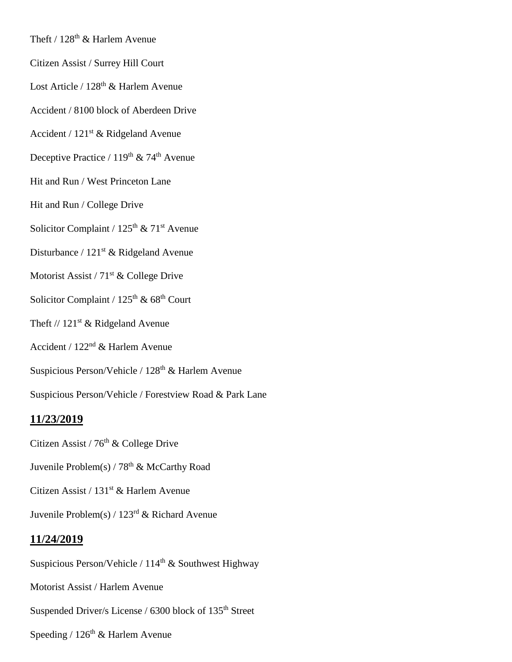Theft /  $128<sup>th</sup>$  & Harlem Avenue

- Citizen Assist / Surrey Hill Court
- Lost Article / 128<sup>th</sup> & Harlem Avenue
- Accident / 8100 block of Aberdeen Drive
- Accident / 121st & Ridgeland Avenue
- Deceptive Practice /  $119<sup>th</sup>$  & 74<sup>th</sup> Avenue
- Hit and Run / West Princeton Lane
- Hit and Run / College Drive
- Solicitor Complaint /  $125<sup>th</sup>$  &  $71<sup>st</sup>$  Avenue
- Disturbance /  $121<sup>st</sup>$  & Ridgeland Avenue
- Motorist Assist / 71<sup>st</sup> & College Drive
- Solicitor Complaint /  $125^{\text{th}}$  &  $68^{\text{th}}$  Court
- Theft  $// 121<sup>st</sup>$  & Ridgeland Avenue
- Accident / 122nd & Harlem Avenue
- Suspicious Person/Vehicle / 128<sup>th</sup> & Harlem Avenue
- Suspicious Person/Vehicle / Forestview Road & Park Lane

## **11/23/2019**

- Citizen Assist /  $76<sup>th</sup>$  & College Drive
- Juvenile Problem(s) /  $78<sup>th</sup>$  & McCarthy Road
- Citizen Assist / 131<sup>st</sup> & Harlem Avenue
- Juvenile Problem(s) /  $123<sup>rd</sup>$  & Richard Avenue

## **11/24/2019**

Suspicious Person/Vehicle /  $114<sup>th</sup>$  & Southwest Highway

- Motorist Assist / Harlem Avenue
- Suspended Driver/s License / 6300 block of 135<sup>th</sup> Street
- Speeding /  $126<sup>th</sup>$  & Harlem Avenue